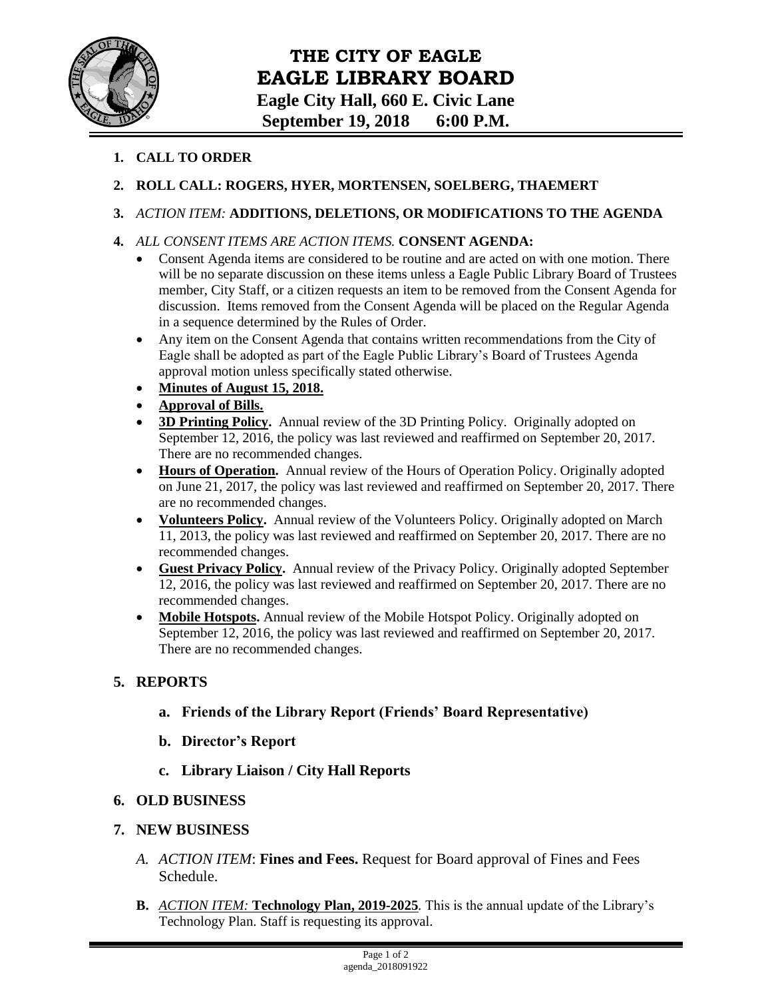

# **THE CITY OF EAGLE EAGLE LIBRARY BOARD Eagle City Hall, 660 E. Civic Lane September 19, 2018 6:00 P.M.**

#### **1. CALL TO ORDER**

### **2. ROLL CALL: ROGERS, HYER, MORTENSEN, SOELBERG, THAEMERT**

### **3.** *ACTION ITEM:* **ADDITIONS, DELETIONS, OR MODIFICATIONS TO THE AGENDA**

- **4.** *ALL CONSENT ITEMS ARE ACTION ITEMS.* **CONSENT AGENDA:**
	- Consent Agenda items are considered to be routine and are acted on with one motion. There will be no separate discussion on these items unless a Eagle Public Library Board of Trustees member, City Staff, or a citizen requests an item to be removed from the Consent Agenda for discussion. Items removed from the Consent Agenda will be placed on the Regular Agenda in a sequence determined by the Rules of Order.
	- Any item on the Consent Agenda that contains written recommendations from the City of Eagle shall be adopted as part of the Eagle Public Library's Board of Trustees Agenda approval motion unless specifically stated otherwise.
	- **Minutes of August 15, 2018.**
	- **Approval of Bills.**
	- **3D Printing Policy.** Annual review of the 3D Printing Policy. Originally adopted on September 12, 2016, the policy was last reviewed and reaffirmed on September 20, 2017. There are no recommended changes.
	- **Hours of Operation.** Annual review of the Hours of Operation Policy. Originally adopted on June 21, 2017, the policy was last reviewed and reaffirmed on September 20, 2017. There are no recommended changes.
	- **Volunteers Policy.** Annual review of the Volunteers Policy. Originally adopted on March 11, 2013, the policy was last reviewed and reaffirmed on September 20, 2017. There are no recommended changes.
	- **Guest Privacy Policy.** Annual review of the Privacy Policy. Originally adopted September 12, 2016, the policy was last reviewed and reaffirmed on September 20, 2017. There are no recommended changes.
	- Mobile Hotspots. Annual review of the Mobile Hotspot Policy. Originally adopted on September 12, 2016, the policy was last reviewed and reaffirmed on September 20, 2017. There are no recommended changes.

## **5. REPORTS**

- **a. Friends of the Library Report (Friends' Board Representative)**
- **b. Director's Report**
- **c. Library Liaison / City Hall Reports**

## **6. OLD BUSINESS**

#### **7. NEW BUSINESS**

- *A. ACTION ITEM*: **Fines and Fees.** Request for Board approval of Fines and Fees Schedule.
- **B.** *ACTION ITEM:* **Technology Plan, 2019-2025***.* This is the annual update of the Library's Technology Plan. Staff is requesting its approval.